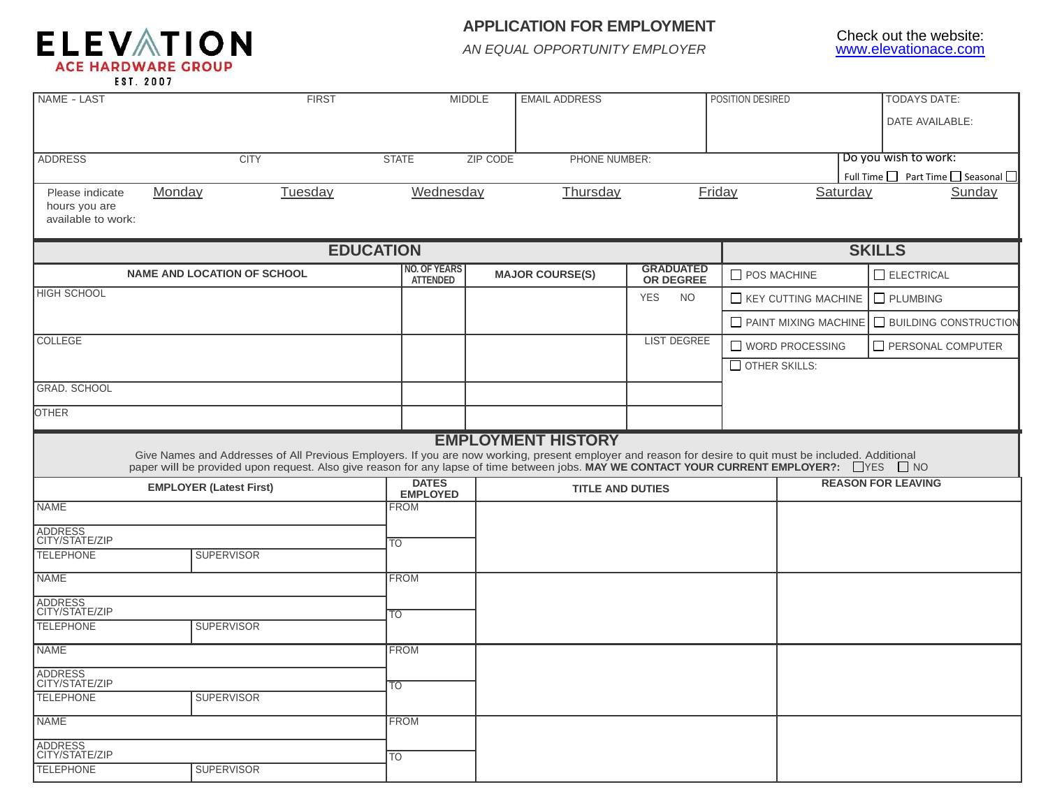

## **APPLICATION FOR EMPLOYMENT**

*AN EQUAL OPPORTUNITY EMPLOYER*

| DATE AVAILABLE:<br>Do you wish to work:<br><b>CITY</b><br><b>STATE</b><br><b>ZIP CODE</b><br>PHONE NUMBER:<br>Full Time <u>□</u> Part Time □ Seasonal □<br>Tuesday<br>Wednesday<br>Thursday<br>Friday<br>Sunday<br>Monday<br>Saturday<br>Please indicate<br>hours you are<br>available to work:<br><b>EDUCATION</b><br><b>SKILLS</b><br><b>NO. OF YEARS</b><br><b>GRADUATED</b><br><b>NAME AND LOCATION OF SCHOOL</b><br>ELECTRICAL<br><b>MAJOR COURSE(S)</b><br>$\Box$ POS MACHINE<br>OR DEGREE<br><b>ATTENDED</b><br><b>YES</b><br><b>NO</b><br>$\Box$ KEY CUTTING MACHINE<br>$\Box$ PLUMBING<br>PAINT MIXING MACHINE<br><b>BUILDING CONSTRUCTION</b><br><b>LIST DEGREE</b><br>WORD PROCESSING<br>PERSONAL COMPUTER<br>$\Box$ OTHER SKILLS:<br><b>EMPLOYMENT HISTORY</b><br>Give Names and Addresses of All Previous Employers. If you are now working, present employer and reason for desire to quit must be included. Additional<br>paper will be provided upon request. Also give reason for any lapse of time between jobs. MAY WE CONTACT YOUR CURRENT EMPLOYER?: □ YES □ NO<br><b>DATES</b><br><b>REASON FOR LEAVING</b><br><b>EMPLOYER (Latest First)</b><br><b>TITLE AND DUTIES</b><br><b>EMPLOYED</b><br><b>FROM</b><br>ADDRESS<br>CITY/STATE/ZIP<br>$\overline{TO}$<br><b>SUPERVISOR</b><br><b>FROM</b><br><b>NAME</b><br>ADDRESS<br>CITY/STATE/ZIP<br>$\overline{10}$<br><b>TELEPHONE</b><br><b>SUPERVISOR</b><br><b>FROM</b><br><b>NAME</b><br>ADDRESS<br>CITY/STATE/ZIP<br>$\overline{TO}$<br><b>SUPERVISOR</b><br><b>FROM</b> | <b>ADDRESS</b><br><b>HIGH SCHOOL</b><br><b>COLLEGE</b><br><b>GRAD, SCHOOL</b><br><b>OTHER</b><br><b>NAME</b> |  |
|------------------------------------------------------------------------------------------------------------------------------------------------------------------------------------------------------------------------------------------------------------------------------------------------------------------------------------------------------------------------------------------------------------------------------------------------------------------------------------------------------------------------------------------------------------------------------------------------------------------------------------------------------------------------------------------------------------------------------------------------------------------------------------------------------------------------------------------------------------------------------------------------------------------------------------------------------------------------------------------------------------------------------------------------------------------------------------------------------------------------------------------------------------------------------------------------------------------------------------------------------------------------------------------------------------------------------------------------------------------------------------------------------------------------------------------------------------------------------------------------------------------------------------------------|--------------------------------------------------------------------------------------------------------------|--|
|                                                                                                                                                                                                                                                                                                                                                                                                                                                                                                                                                                                                                                                                                                                                                                                                                                                                                                                                                                                                                                                                                                                                                                                                                                                                                                                                                                                                                                                                                                                                                |                                                                                                              |  |
|                                                                                                                                                                                                                                                                                                                                                                                                                                                                                                                                                                                                                                                                                                                                                                                                                                                                                                                                                                                                                                                                                                                                                                                                                                                                                                                                                                                                                                                                                                                                                |                                                                                                              |  |
|                                                                                                                                                                                                                                                                                                                                                                                                                                                                                                                                                                                                                                                                                                                                                                                                                                                                                                                                                                                                                                                                                                                                                                                                                                                                                                                                                                                                                                                                                                                                                |                                                                                                              |  |
|                                                                                                                                                                                                                                                                                                                                                                                                                                                                                                                                                                                                                                                                                                                                                                                                                                                                                                                                                                                                                                                                                                                                                                                                                                                                                                                                                                                                                                                                                                                                                |                                                                                                              |  |
|                                                                                                                                                                                                                                                                                                                                                                                                                                                                                                                                                                                                                                                                                                                                                                                                                                                                                                                                                                                                                                                                                                                                                                                                                                                                                                                                                                                                                                                                                                                                                |                                                                                                              |  |
|                                                                                                                                                                                                                                                                                                                                                                                                                                                                                                                                                                                                                                                                                                                                                                                                                                                                                                                                                                                                                                                                                                                                                                                                                                                                                                                                                                                                                                                                                                                                                |                                                                                                              |  |
|                                                                                                                                                                                                                                                                                                                                                                                                                                                                                                                                                                                                                                                                                                                                                                                                                                                                                                                                                                                                                                                                                                                                                                                                                                                                                                                                                                                                                                                                                                                                                |                                                                                                              |  |
|                                                                                                                                                                                                                                                                                                                                                                                                                                                                                                                                                                                                                                                                                                                                                                                                                                                                                                                                                                                                                                                                                                                                                                                                                                                                                                                                                                                                                                                                                                                                                |                                                                                                              |  |
|                                                                                                                                                                                                                                                                                                                                                                                                                                                                                                                                                                                                                                                                                                                                                                                                                                                                                                                                                                                                                                                                                                                                                                                                                                                                                                                                                                                                                                                                                                                                                |                                                                                                              |  |
|                                                                                                                                                                                                                                                                                                                                                                                                                                                                                                                                                                                                                                                                                                                                                                                                                                                                                                                                                                                                                                                                                                                                                                                                                                                                                                                                                                                                                                                                                                                                                |                                                                                                              |  |
|                                                                                                                                                                                                                                                                                                                                                                                                                                                                                                                                                                                                                                                                                                                                                                                                                                                                                                                                                                                                                                                                                                                                                                                                                                                                                                                                                                                                                                                                                                                                                |                                                                                                              |  |
|                                                                                                                                                                                                                                                                                                                                                                                                                                                                                                                                                                                                                                                                                                                                                                                                                                                                                                                                                                                                                                                                                                                                                                                                                                                                                                                                                                                                                                                                                                                                                |                                                                                                              |  |
|                                                                                                                                                                                                                                                                                                                                                                                                                                                                                                                                                                                                                                                                                                                                                                                                                                                                                                                                                                                                                                                                                                                                                                                                                                                                                                                                                                                                                                                                                                                                                |                                                                                                              |  |
|                                                                                                                                                                                                                                                                                                                                                                                                                                                                                                                                                                                                                                                                                                                                                                                                                                                                                                                                                                                                                                                                                                                                                                                                                                                                                                                                                                                                                                                                                                                                                |                                                                                                              |  |
|                                                                                                                                                                                                                                                                                                                                                                                                                                                                                                                                                                                                                                                                                                                                                                                                                                                                                                                                                                                                                                                                                                                                                                                                                                                                                                                                                                                                                                                                                                                                                |                                                                                                              |  |
|                                                                                                                                                                                                                                                                                                                                                                                                                                                                                                                                                                                                                                                                                                                                                                                                                                                                                                                                                                                                                                                                                                                                                                                                                                                                                                                                                                                                                                                                                                                                                |                                                                                                              |  |
|                                                                                                                                                                                                                                                                                                                                                                                                                                                                                                                                                                                                                                                                                                                                                                                                                                                                                                                                                                                                                                                                                                                                                                                                                                                                                                                                                                                                                                                                                                                                                |                                                                                                              |  |
|                                                                                                                                                                                                                                                                                                                                                                                                                                                                                                                                                                                                                                                                                                                                                                                                                                                                                                                                                                                                                                                                                                                                                                                                                                                                                                                                                                                                                                                                                                                                                |                                                                                                              |  |
|                                                                                                                                                                                                                                                                                                                                                                                                                                                                                                                                                                                                                                                                                                                                                                                                                                                                                                                                                                                                                                                                                                                                                                                                                                                                                                                                                                                                                                                                                                                                                |                                                                                                              |  |
|                                                                                                                                                                                                                                                                                                                                                                                                                                                                                                                                                                                                                                                                                                                                                                                                                                                                                                                                                                                                                                                                                                                                                                                                                                                                                                                                                                                                                                                                                                                                                |                                                                                                              |  |
|                                                                                                                                                                                                                                                                                                                                                                                                                                                                                                                                                                                                                                                                                                                                                                                                                                                                                                                                                                                                                                                                                                                                                                                                                                                                                                                                                                                                                                                                                                                                                |                                                                                                              |  |
|                                                                                                                                                                                                                                                                                                                                                                                                                                                                                                                                                                                                                                                                                                                                                                                                                                                                                                                                                                                                                                                                                                                                                                                                                                                                                                                                                                                                                                                                                                                                                |                                                                                                              |  |
|                                                                                                                                                                                                                                                                                                                                                                                                                                                                                                                                                                                                                                                                                                                                                                                                                                                                                                                                                                                                                                                                                                                                                                                                                                                                                                                                                                                                                                                                                                                                                | <b>TELEPHONE</b>                                                                                             |  |
|                                                                                                                                                                                                                                                                                                                                                                                                                                                                                                                                                                                                                                                                                                                                                                                                                                                                                                                                                                                                                                                                                                                                                                                                                                                                                                                                                                                                                                                                                                                                                |                                                                                                              |  |
|                                                                                                                                                                                                                                                                                                                                                                                                                                                                                                                                                                                                                                                                                                                                                                                                                                                                                                                                                                                                                                                                                                                                                                                                                                                                                                                                                                                                                                                                                                                                                |                                                                                                              |  |
|                                                                                                                                                                                                                                                                                                                                                                                                                                                                                                                                                                                                                                                                                                                                                                                                                                                                                                                                                                                                                                                                                                                                                                                                                                                                                                                                                                                                                                                                                                                                                |                                                                                                              |  |
|                                                                                                                                                                                                                                                                                                                                                                                                                                                                                                                                                                                                                                                                                                                                                                                                                                                                                                                                                                                                                                                                                                                                                                                                                                                                                                                                                                                                                                                                                                                                                |                                                                                                              |  |
|                                                                                                                                                                                                                                                                                                                                                                                                                                                                                                                                                                                                                                                                                                                                                                                                                                                                                                                                                                                                                                                                                                                                                                                                                                                                                                                                                                                                                                                                                                                                                |                                                                                                              |  |
|                                                                                                                                                                                                                                                                                                                                                                                                                                                                                                                                                                                                                                                                                                                                                                                                                                                                                                                                                                                                                                                                                                                                                                                                                                                                                                                                                                                                                                                                                                                                                |                                                                                                              |  |
|                                                                                                                                                                                                                                                                                                                                                                                                                                                                                                                                                                                                                                                                                                                                                                                                                                                                                                                                                                                                                                                                                                                                                                                                                                                                                                                                                                                                                                                                                                                                                |                                                                                                              |  |
|                                                                                                                                                                                                                                                                                                                                                                                                                                                                                                                                                                                                                                                                                                                                                                                                                                                                                                                                                                                                                                                                                                                                                                                                                                                                                                                                                                                                                                                                                                                                                | <b>TELEPHONE</b>                                                                                             |  |
|                                                                                                                                                                                                                                                                                                                                                                                                                                                                                                                                                                                                                                                                                                                                                                                                                                                                                                                                                                                                                                                                                                                                                                                                                                                                                                                                                                                                                                                                                                                                                | <b>NAME</b>                                                                                                  |  |
|                                                                                                                                                                                                                                                                                                                                                                                                                                                                                                                                                                                                                                                                                                                                                                                                                                                                                                                                                                                                                                                                                                                                                                                                                                                                                                                                                                                                                                                                                                                                                | ADDRESS<br>CITY/STATE/ZIP                                                                                    |  |
| <b>TO</b>                                                                                                                                                                                                                                                                                                                                                                                                                                                                                                                                                                                                                                                                                                                                                                                                                                                                                                                                                                                                                                                                                                                                                                                                                                                                                                                                                                                                                                                                                                                                      | <b>TELEPHONE</b><br><b>SUPERVISOR</b>                                                                        |  |